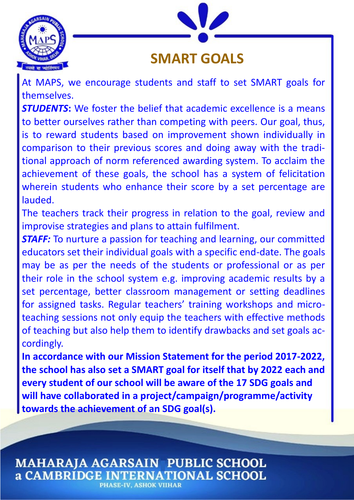



## **SMART GOALS**

At MAPS, we encourage students and staff to set SMART goals for themselves.

*STUDENTS***:** We foster the belief that academic excellence is a means to better ourselves rather than competing with peers. Our goal, thus, is to reward students based on improvement shown individually in comparison to their previous scores and doing away with the traditional approach of norm referenced awarding system. To acclaim the achievement of these goals, the school has a system of felicitation wherein students who enhance their score by a set percentage are lauded.

The teachers track their progress in relation to the goal, review and improvise strategies and plans to attain fulfilment.

**STAFF:** To nurture a passion for teaching and learning, our committed educators set their individual goals with a specific end-date. The goals may be as per the needs of the students or professional or as per their role in the school system e.g. improving academic results by a set percentage, better classroom management or setting deadlines for assigned tasks. Regular teachers' training workshops and microteaching sessions not only equip the teachers with effective methods of teaching but also help them to identify drawbacks and set goals accordingly.

**In accordance with our Mission Statement for the period 2017-2022, the school has also set a SMART goal for itself that by 2022 each and every student of our school will be aware of the 17 SDG goals and will have collaborated in a project/campaign/programme/activity towards the achievement of an SDG goal(s).**

**MAHARAJA AGARSAIN PUBLIC SCHOOL a CAMBRIDGE INTERNATIONAL SCHOOL PHASE-IV. ASHOK VIIHAR**